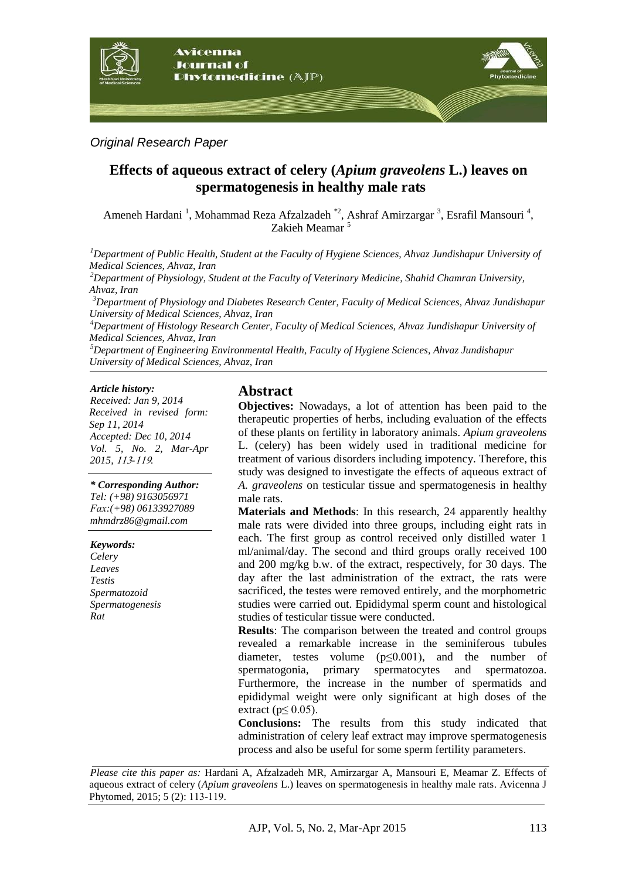

*Original Research Paper*

# **Effects of aqueous extract of celery (***Apium graveolens* **L.) leaves on spermatogenesis in healthy male rats**

Ameneh Hardani<sup>1</sup>, Mohammad Reza Afzalzadeh<sup>\*2</sup>, Ashraf Amirzargar<sup>3</sup>, Esrafil Mansouri<sup>4</sup>, Zakieh Meamar <sup>5</sup>

*<sup>1</sup>Department of Public Health, Student at the Faculty of Hygiene Sciences, Ahvaz Jundishapur University of Medical Sciences, Ahvaz, Iran* 

*<sup>2</sup>Department of Physiology, Student at the Faculty of Veterinary Medicine, Shahid Chamran University, Ahvaz, Iran*

*<sup>3</sup>Department of Physiology and Diabetes Research Center, Faculty of Medical Sciences, Ahvaz Jundishapur University of Medical Sciences, Ahvaz, Iran*

*<sup>4</sup>Department of Histology Research Center, Faculty of Medical Sciences, Ahvaz Jundishapur University of Medical Sciences, Ahvaz, Iran*

*<sup>5</sup>Department of Engineering Environmental Health, Faculty of Hygiene Sciences, Ahvaz Jundishapur University of Medical Sciences, Ahvaz, Iran*

#### *Article history:*

*Received: Jan 9, 2014 Received in revised form: Sep 11, 2014 Accepted: Dec 10, 2014 Vol. 5, No. 2, Mar-Apr* 2015, 113-119.

#### *\* Corresponding Author:*

*Tel: (+98) 9163056971 xaF:(+98) 06133927089 mhmdrz86@gmail.com*

#### *Keywords:*

*Celery Leaves Testis Spermatozoid Spermatogenesis Rat*

## **Abstract**

**Objectives:** Nowadays, a lot of attention has been paid to the therapeutic properties of herbs, including evaluation of the effects of these plants on fertility in laboratory animals. *Apium graveolens* L. (celery) has been widely used in traditional medicine for treatment of various disorders including impotency. Therefore, this study was designed to investigate the effects of aqueous extract of *A. graveolens* on testicular tissue and spermatogenesis in healthy male rats.

**Materials and Methods**: In this research, 24 apparently healthy male rats were divided into three groups, including eight rats in each. The first group as control received only distilled water 1 ml/animal/day. The second and third groups orally received 100 and 200 mg/kg b.w. of the extract, respectively, for 30 days. The day after the last administration of the extract, the rats were sacrificed, the testes were removed entirely, and the morphometric studies were carried out. Epididymal sperm count and histological studies of testicular tissue were conducted.

**Results**: The comparison between the treated and control groups revealed a remarkable increase in the seminiferous tubules diameter, testes volume  $(p \le 0.001)$ , and the number of spermatogonia, primary spermatocytes and spermatozoa. Furthermore, the increase in the number of spermatids and epididymal weight were only significant at high doses of the extract ( $p \leq 0.05$ ).

**Conclusions:** The results from this study indicated that administration of celery leaf extract may improve spermatogenesis process and also be useful for some sperm fertility parameters.

*Please cite this paper as:* Hardani A*,* Afzalzadeh MR, Amirzargar A, Mansouri E, Meamar Z. Effects of aqueous extract of celery (*Apium graveolens* L.) leaves on spermatogenesis in healthy male rats. Avicenna J Phytomed, 2015; 5 (2): 113-119.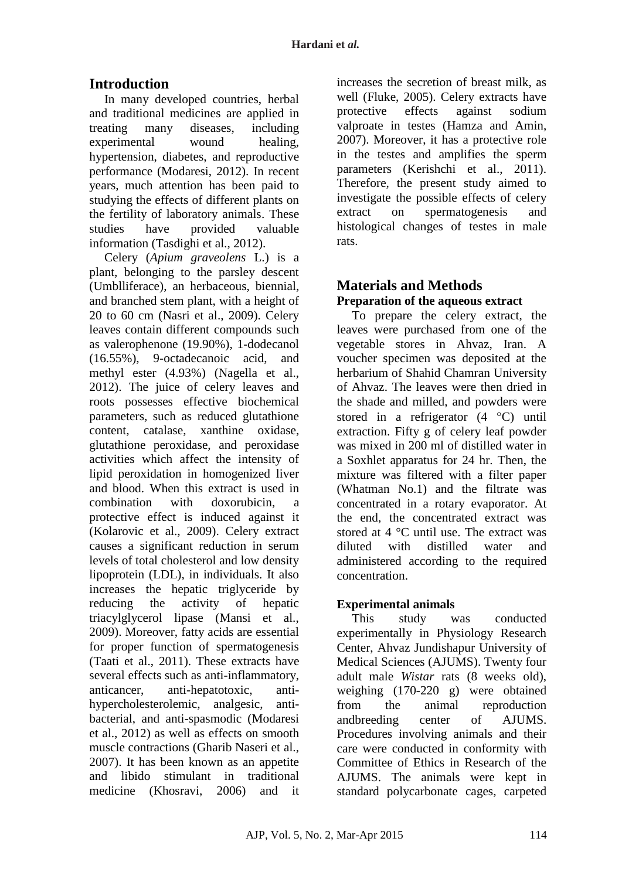# **Introduction**

In many developed countries, herbal and traditional medicines are applied in treating many diseases, including experimental wound healing, hypertension, diabetes, and reproductive performance (Modaresi, 2012). In recent years, much attention has been paid to studying the effects of different plants on the fertility of laboratory animals. These studies have provided valuable information (Tasdighi et al., 2012).

Celery (*Apium graveolens* L.) is a plant, belonging to the parsley descent (Umblliferace), an herbaceous, biennial, and branched stem plant, with a height of 20 to 60 cm (Nasri et al., 2009). Celery leaves contain different compounds such as valerophenone (19.90%), 1-dodecanol (16.55%), 9-octadecanoic acid, and methyl ester (4.93%) (Nagella et al., 2012). The juice of celery leaves and roots possesses effective biochemical parameters, such as reduced glutathione content, catalase, xanthine oxidase, glutathione peroxidase, and peroxidase activities which affect the intensity of lipid peroxidation in homogenized liver and blood. When this extract is used in combination with doxorubicin a protective effect is induced against it (Kolarovic et al., 2009). Celery extract causes a significant reduction in serum levels of total cholesterol and low density lipoprotein (LDL), in individuals. It also increases the hepatic triglyceride by reducing the activity of hepatic triacylglycerol lipase (Mansi et al., 2009). Moreover, fatty acids are essential for proper function of spermatogenesis (Taati et al., 2011). These extracts have several effects such as anti-inflammatory, anticancer, anti-hepatotoxic, antihypercholesterolemic, analgesic, antibacterial, and anti-spasmodic (Modaresi et al., 2012) as well as effects on smooth muscle contractions (Gharib Naseri et al., 2007). It has been known as an appetite and libido stimulant in traditional medicine (Khosravi, 2006) and it

increases the secretion of breast milk, as well (Fluke, 2005). Celery extracts have protective effects against sodium valproate in testes (Hamza and Amin, 2007). Moreover, it has a protective role in the testes and amplifies the sperm parameters (Kerishchi et al., 2011). Therefore, the present study aimed to investigate the possible effects of celery extract on spermatogenesis and histological changes of testes in male rats.

# **Materials and Methods Preparation of the aqueous extract**

To prepare the celery extract, the leaves were purchased from one of the vegetable stores in Ahvaz, Iran. A voucher specimen was deposited at the herbarium of Shahid Chamran University of Ahvaz. The leaves were then dried in the shade and milled, and powders were stored in a refrigerator  $(4 \degree C)$  until extraction. Fifty g of celery leaf powder was mixed in 200 ml of distilled water in a Soxhlet apparatus for 24 hr. Then, the mixture was filtered with a filter paper (Whatman No.1) and the filtrate was concentrated in a rotary evaporator. At the end, the concentrated extract was stored at 4 °C until use. The extract was diluted with distilled water and administered according to the required concentration.

## **Experimental animals**

This study was conducted experimentally in Physiology Research Center, Ahvaz Jundishapur University of Medical Sciences (AJUMS). Twenty four adult male *Wistar* rats (8 weeks old), weighing (170-220 g) were obtained from the animal reproduction andbreeding center of AJUMS. Procedures involving animals and their care were conducted in conformity with Committee of Ethics in Research of the AJUMS. The animals were kept in standard polycarbonate cages, carpeted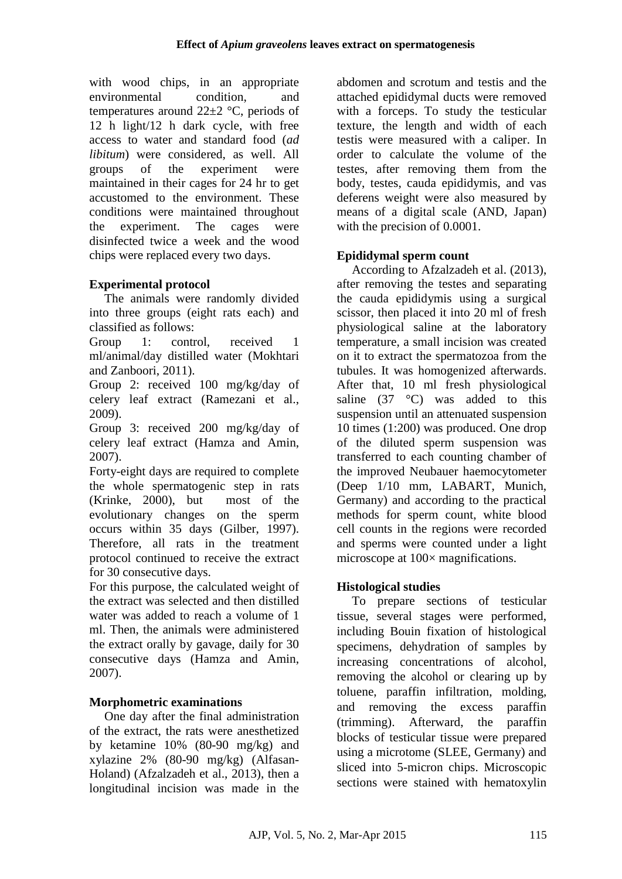with wood chips, in an appropriate environmental condition, and temperatures around  $22\pm2$  °C, periods of 12 h light/12 h dark cycle, with free access to water and standard food (*ad libitum*) were considered, as well. All groups of the experiment were maintained in their cages for 24 hr to get accustomed to the environment. These conditions were maintained throughout the experiment. The cages were disinfected twice a week and the wood chips were replaced every two days.

## **Experimental protocol**

The animals were randomly divided into three groups (eight rats each) and classified as follows:

Group 1: control, received 1 ml/animal/day distilled water (Mokhtari and Zanboori, 2011).

Group 2: received 100 mg/kg/day of celery leaf extract (Ramezani et al., 2009).

Group 3: received 200 mg/kg/day of celery leaf extract (Hamza and Amin, 2007).

Forty-eight days are required to complete the whole spermatogenic step in rats (Krinke, 2000), but most of the evolutionary changes on the sperm occurs within 35 days (Gilber, 1997). Therefore, all rats in the treatment protocol continued to receive the extract for 30 consecutive days.

For this purpose, the calculated weight of the extract was selected and then distilled water was added to reach a volume of 1 ml. Then, the animals were administered the extract orally by gavage, daily for 30 consecutive days (Hamza and Amin, 2007).

## **Morphometric examinations**

One day after the final administration of the extract, the rats were anesthetized by ketamine 10% (80-90 mg/kg) and xylazine 2% (80-90 mg/kg) (Alfasan-Holand) (Afzalzadeh et al., 2013), then a longitudinal incision was made in the abdomen and scrotum and testis and the attached epididymal ducts were removed with a forceps. To study the testicular texture, the length and width of each testis were measured with a caliper. In order to calculate the volume of the testes, after removing them from the body, testes, cauda epididymis, and vas deferens weight were also measured by means of a digital scale (AND, Japan) with the precision of 0.0001.

## **Epididymal sperm count**

According to Afzalzadeh et al. (2013), after removing the testes and separating the cauda epididymis using a surgical scissor, then placed it into 20 ml of fresh physiological saline at the laboratory temperature, a small incision was created on it to extract the spermatozoa from the tubules. It was homogenized afterwards. After that, 10 ml fresh physiological saline  $(37 \degree C)$  was added to this suspension until an attenuated suspension 10 times (1:200) was produced. One drop of the diluted sperm suspension was transferred to each counting chamber of the improved Neubauer haemocytometer (Deep 1/10 mm, LABART, Munich, Germany) and according to the practical methods for sperm count, white blood cell counts in the regions were recorded and sperms were counted under a light microscope at 100× magnifications.

### **Histological studies**

To prepare sections of testicular tissue, several stages were performed, including Bouin fixation of histological specimens, dehydration of samples by increasing concentrations of alcohol, removing the alcohol or clearing up by toluene, paraffin infiltration, molding, and removing the excess paraffin (trimming). Afterward, the paraffin blocks of testicular tissue were prepared using a microtome (SLEE, Germany) and sliced into 5-micron chips. Microscopic sections were stained with hematoxylin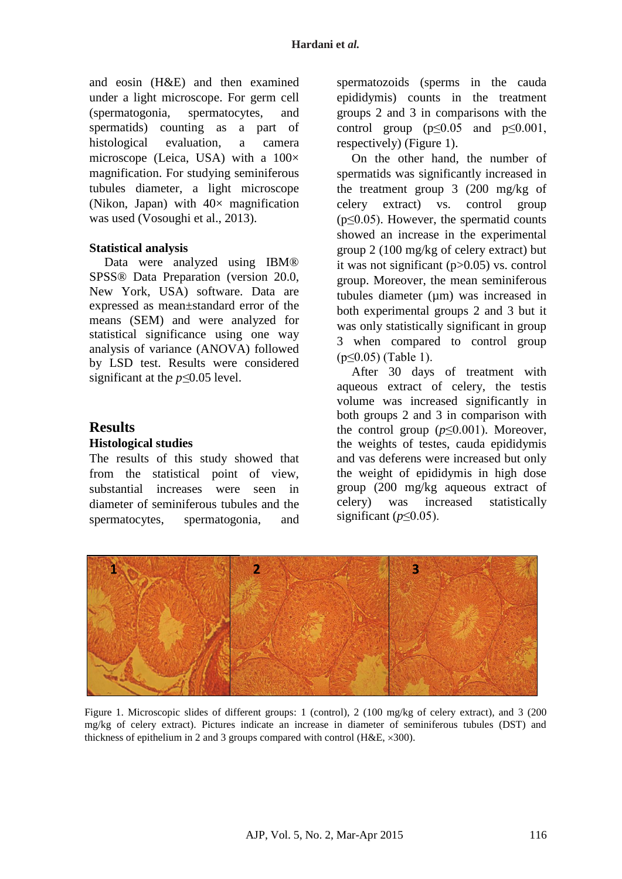and eosin (H&E) and then examined under a light microscope. For germ cell (spermatogonia, spermatocytes, and spermatids) counting as a part of histological evaluation, a camera microscope (Leica, USA) with a  $100 \times$ magnification. For studying seminiferous tubules diameter, a light microscope (Nikon, Japan) with  $40\times$  magnification was used (Vosoughi et al., 2013).

#### **Statistical analysis**

Data were analyzed using IBM® SPSS® Data Preparation (version 20.0, New York, USA) software. Data are expressed as mean±standard error of the means (SEM) and were analyzed for statistical significance using one way analysis of variance (ANOVA) followed by LSD test. Results were considered significant at the *p≤*0.05 level.

#### **Results**

#### **Histological studies**

The results of this study showed that from the statistical point of view, substantial increases were seen in diameter of seminiferous tubules and the spermatocytes, spermatogonia, and spermatozoids (sperms in the cauda epididymis) counts in the treatment groups 2 and 3 in comparisons with the control group  $(p<0.05$  and  $p<0.001$ , respectively) (Figure 1).

On the other hand, the number of spermatids was significantly increased in the treatment group 3 (200 mg/kg of celery extract) vs. control group ( $p \leq 0.05$ ). However, the spermatid counts showed an increase in the experimental group 2 (100 mg/kg of celery extract) but it was not significant (p>0.05) vs. control group. Moreover, the mean seminiferous tubules diameter (um) was increased in both experimental groups 2 and 3 but it was only statistically significant in group 3 when compared to control group (p≤0.05) (Table 1).

After 30 days of treatment with aqueous extract of celery, the testis volume was increased significantly in both groups 2 and 3 in comparison with the control group  $(p \leq 0.001)$ . Moreover, the weights of testes, cauda epididymis and vas deferens were increased but only the weight of epididymis in high dose group (200 mg/kg aqueous extract of celery) was increased statistically significant ( $p \le 0.05$ ).



Figure 1. Microscopic slides of different groups: 1 (control), 2 (100 mg/kg of celery extract), and 3 (200 mg/kg of celery extract). Pictures indicate an increase in diameter of seminiferous tubules (DST) and thickness of epithelium in 2 and 3 groups compared with control ( $H&E, \times 300$ ).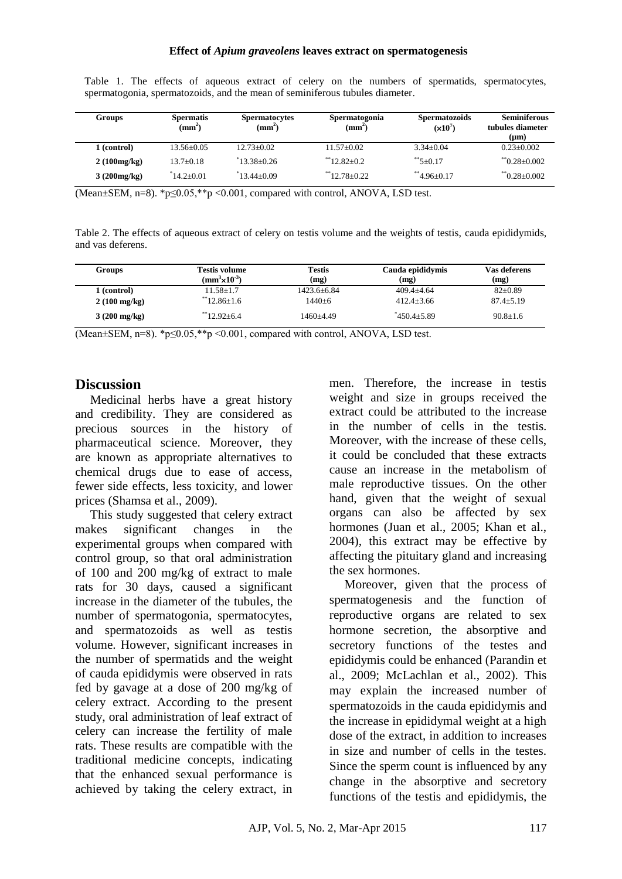| Groups      | <b>Spermatis</b><br>$(\mathbf{mm}^2)$ | <b>Spermatocytes</b><br>$(\mathbf{mm}^2)$ | Spermatogonia<br>$(mm^2)$ | <b>Spermatozoids</b><br>$(x10^7)$ | <b>Seminiferous</b><br>tubules diameter<br>$(\mu m)$ |
|-------------|---------------------------------------|-------------------------------------------|---------------------------|-----------------------------------|------------------------------------------------------|
| 1 (control) | $13.56 + 0.05$                        | $12.73+0.02$                              | $11.57+0.02$              | $3.34 + 0.04$                     | $0.23 + 0.002$                                       |
| 2(100mg/kg) | $13.7+0.18$                           | $*13.38+0.26$                             | $*$ 12.82+0.2             | $*$ 5+0.17                        | $*$ <sup>0.28+0.002</sup>                            |
| 3(200mg/kg) | $14.2 \pm 0.01$                       | $13.44 + 0.09$                            | $*$ 12.78+0.22            | $*$ 4.96+0.17                     | $*$ <sup>0</sup> 0.28+0.002                          |

Table 1. The effects of aqueous extract of celery on the numbers of spermatids, spermatocytes, spermatogonia, spermatozoids, and the mean of seminiferous tubules diameter.

(Mean±SEM, n=8). \*p≤0.05,\*\* $\overline{p}$  <0.001, compared with control, ANOVA, LSD test.

Table 2. The effects of aqueous extract of celery on testis volume and the weights of testis, cauda epididymids, and vas deferens.

| <b>Groups</b>          | Testis volume<br>( $mm^3\times10^{-3}$ ) | <b>Testis</b><br>(mg) | Cauda epididymis<br>(mg) | Vas deferens<br>(mg) |
|------------------------|------------------------------------------|-----------------------|--------------------------|----------------------|
| 1 (control)            | $11.58 + 1.7$                            | 1423.6+6.84           | $409.4 + 4.64$           | $82 \pm 0.89$        |
| $2(100 \text{ mg/kg})$ | $*12.86+1.6$                             | 1440+6                | $412.4 + 3.66$           | $87.4 + 5.19$        |
| $3(200 \text{ mg/kg})$ | $*12.92+6.4$                             | 1460+4.49             | $*450.4 + 5.89$          | $90.8 + 1.6$         |

(Mean $\pm$ SEM, n=8). \*p $\leq$ 0.05,\*\*p $\leq$ 0.001, compared with control, ANOVA, LSD test.

#### **Discussion**

Medicinal herbs have a great history and credibility. They are considered as precious sources in the history of pharmaceutical science. Moreover, they are known as appropriate alternatives to chemical drugs due to ease of access, fewer side effects, less toxicity, and lower prices (Shamsa et al., 2009).

This study suggested that celery extract makes significant changes in the experimental groups when compared with control group, so that oral administration of 100 and 200 mg/kg of extract to male rats for 30 days, caused a significant increase in the diameter of the tubules, the number of spermatogonia, spermatocytes, and spermatozoids as well as testis volume. However, significant increases in the number of spermatids and the weight of cauda epididymis were observed in rats fed by gavage at a dose of 200 mg/kg of celery extract. According to the present study, oral administration of leaf extract of celery can increase the fertility of male rats. These results are compatible with the traditional medicine concepts, indicating that the enhanced sexual performance is achieved by taking the celery extract, in men. Therefore, the increase in testis weight and size in groups received the extract could be attributed to the increase in the number of cells in the testis. Moreover, with the increase of these cells, it could be concluded that these extracts cause an increase in the metabolism of male reproductive tissues. On the other hand, given that the weight of sexual organs can also be affected by sex hormones (Juan et al., 2005; Khan et al., 2004), this extract may be effective by affecting the pituitary gland and increasing the sex hormones.

Moreover, given that the process of spermatogenesis and the function of reproductive organs are related to sex hormone secretion, the absorptive and secretory functions of the testes and epididymis could be enhanced (Parandin et al., 2009; McLachlan et al., 2002). This may explain the increased number of spermatozoids in the cauda epididymis and the increase in epididymal weight at a high dose of the extract, in addition to increases in size and number of cells in the testes. Since the sperm count is influenced by any change in the absorptive and secretory functions of the testis and epididymis, the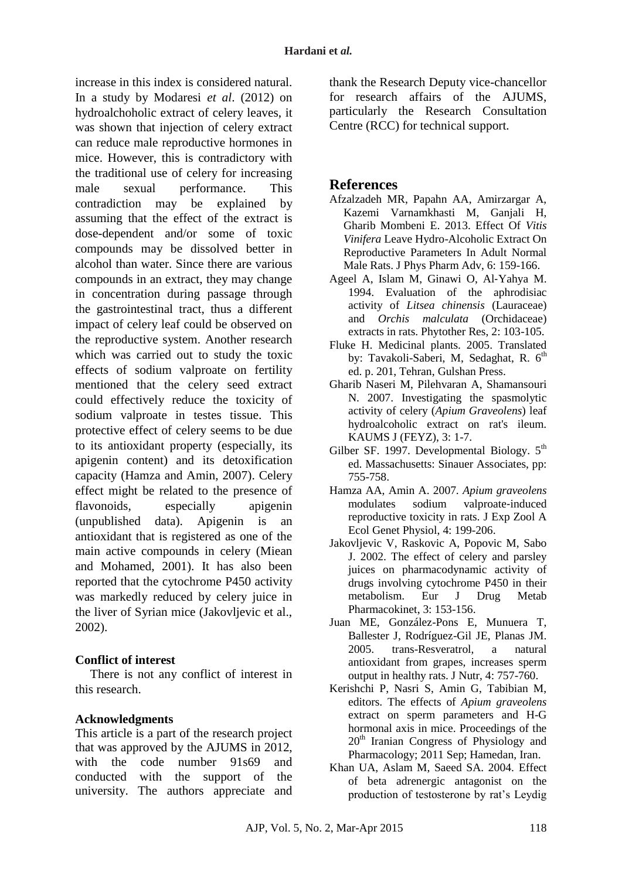increase in this index is considered natural. In a study by Modaresi *et al*. (2012) on hydroalchoholic extract of celery leaves, it was shown that injection of celery extract can reduce male reproductive hormones in mice. However, this is contradictory with the traditional use of celery for increasing male sexual performance. This contradiction may be explained by assuming that the effect of the extract is dose-dependent and/or some of toxic compounds may be dissolved better in alcohol than water. Since there are various compounds in an extract, they may change in concentration during passage through the gastrointestinal tract, thus a different impact of celery leaf could be observed on the reproductive system. Another research which was carried out to study the toxic effects of sodium valproate on fertility mentioned that the celery seed extract could effectively reduce the toxicity of sodium valproate in testes tissue. This protective effect of celery seems to be due to its antioxidant property (especially, its apigenin content) and its detoxification capacity (Hamza and Amin, 2007). Celery effect might be related to the presence of flavonoids, especially apigenin (unpublished data). Apigenin is an antioxidant that is registered as one of the main active compounds in celery (Miean and Mohamed, 2001). It has also been reported that the cytochrome P450 activity was markedly reduced by celery juice in the liver of Syrian mice (Jakovljevic et al., 2002).

#### **Conflict of interest**

There is not any conflict of interest in this research.

### **Acknowledgments**

This article is a part of the research project that was approved by the AJUMS in 2012, with the code number 91s69 and conducted with the support of the university. The authors appreciate and thank the Research Deputy vice-chancellor for research affairs of the AJUMS, particularly the Research Consultation Centre (RCC) for technical support.

## **References**

- Afzalzadeh MR, Papahn AA, Amirzargar A, Kazemi Varnamkhasti M, Ganjali H, Gharib Mombeni E. 2013. Effect Of *Vitis Vinifera* Leave Hydro-Alcoholic Extract On Reproductive Parameters In Adult Normal Male Rats. J Phys Pharm Adv, 6: 159-166.
- Ageel A, Islam M, Ginawi O, Al‐Yahya M. 1994. Evaluation of the aphrodisiac activity of *Litsea chinensis* (Lauraceae) and *Orchis malculata* (Orchidaceae) extracts in rats. Phytother Res, 2: 103-105.
- Fluke H. Medicinal plants. 2005. Translated by: Tavakoli-Saberi, M, Sedaghat, R. 6<sup>th</sup> ed. p. 201, Tehran, Gulshan Press.
- Gharib Naseri M, Pilehvaran A, Shamansouri N. 2007. Investigating the spasmolytic activity of celery (*Apium Graveolens*) leaf hydroalcoholic extract on rat's ileum. KAUMS J (FEYZ), 3: 1-7.
- Gilber SF. 1997. Developmental Biology.  $5<sup>th</sup>$ ed. Massachusetts: Sinauer Associates, pp: 755-758.
- Hamza AA, Amin A. 2007. *Apium graveolens* modulates sodium valproate‐induced reproductive toxicity in rats*.* J Exp Zool A Ecol Genet Physiol, 4: 199-206.
- Jakovljevic V, Raskovic A, Popovic M, Sabo J. 2002. The effect of celery and parsley juices on pharmacodynamic activity of drugs involving cytochrome P450 in their metabolism. Eur J Drug Metab Pharmacokinet, 3: 153-156.
- Juan ME, González-Pons E, Munuera T, Ballester J, Rodríguez-Gil JE, Planas JM. 2005. trans-Resveratrol, a natural antioxidant from grapes, increases sperm output in healthy rats. J Nutr, 4: 757-760.
- Kerishchi P, Nasri S, Amin G, Tabibian M, editors. The effects of *Apium graveolens* extract on sperm parameters and H-G hormonal axis in mice. Proceedings of the  $20<sup>th</sup>$  Iranian Congress of Physiology and Pharmacology; 2011 Sep; Hamedan, Iran.
- Khan UA, Aslam M, Saeed SA. 2004. Effect of beta adrenergic antagonist on the production of testosterone by rat's Leydig